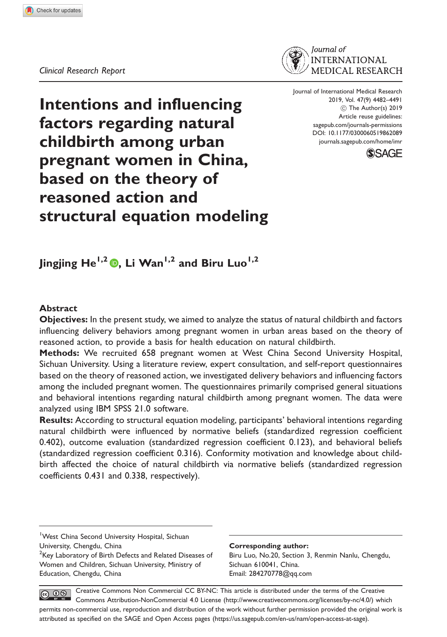

Journal of International Medical Research 2019, Vol. 47(9) 4482–4491 (C) The Author(s) 2019 Article reuse guidelines: [sagepub.com/journals-permissions](http://uk.sagepub.com/en-gb/journals-permissions) [DOI: 10.1177/0300060519862089](http://dx.doi.org/10.1177/0300060519862089) <journals.sagepub.com/home/imr>



Intentions and influencing factors regarding natural childbirth among urban pregnant women in China, based on the theory of reasoned action and structural equation modeling

Jingjing He<sup>1[,](https://orcid.org/0000-0001-9613-5193)2</sup>  $\bullet$ , Li Wan<sup>1,2</sup> and Biru Luo<sup>1,2</sup>

#### Abstract

Objectives: In the present study, we aimed to analyze the status of natural childbirth and factors influencing delivery behaviors among pregnant women in urban areas based on the theory of reasoned action, to provide a basis for health education on natural childbirth.

Methods: We recruited 658 pregnant women at West China Second University Hospital, Sichuan University. Using a literature review, expert consultation, and self-report questionnaires based on the theory of reasoned action, we investigated delivery behaviors and influencing factors among the included pregnant women. The questionnaires primarily comprised general situations and behavioral intentions regarding natural childbirth among pregnant women. The data were analyzed using IBM SPSS 21.0 software.

Results: According to structural equation modeling, participants' behavioral intentions regarding natural childbirth were influenced by normative beliefs (standardized regression coefficient 0.402), outcome evaluation (standardized regression coefficient 0.123), and behavioral beliefs (standardized regression coefficient 0.316). Conformity motivation and knowledge about childbirth affected the choice of natural childbirth via normative beliefs (standardized regression coefficients 0.431 and 0.338, respectively).

<sup>1</sup>West China Second University Hospital, Sichuan University, Chengdu, China

Corresponding author: Biru Luo, No.20, Section 3, Renmin Nanlu, Chengdu, Sichuan 610041, China. Email: [284270778@qq.com](mailto:284270778@qq.com)

Creative Commons Non Commercial CC BY-NC: This article is distributed under the terms of the Creative  $@ @@@$ Commons Attribution-NonCommercial 4.0 License (http://www.creativecommons.org/licenses/by-nc/4.0/) which

permits non-commercial use, reproduction and distribution of the work without further permission provided the original work is attributed as specified on the SAGE and Open Access pages (https://us.sagepub.com/en-us/nam/open-access-at-sage).

<sup>&</sup>lt;sup>2</sup>Key Laboratory of Birth Defects and Related Diseases of Women and Children, Sichuan University, Ministry of Education, Chengdu, China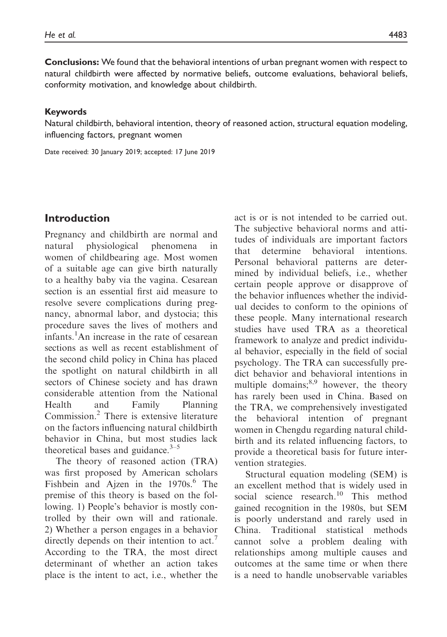He et al. 4483

Conclusions: We found that the behavioral intentions of urban pregnant women with respect to natural childbirth were affected by normative beliefs, outcome evaluations, behavioral beliefs, conformity motivation, and knowledge about childbirth.

#### Keywords

Natural childbirth, behavioral intention, theory of reasoned action, structural equation modeling, influencing factors, pregnant women

Date received: 30 January 2019; accepted: 17 June 2019

## Introduction

Pregnancy and childbirth are normal and natural physiological phenomena in women of childbearing age. Most women of a suitable age can give birth naturally to a healthy baby via the vagina. Cesarean section is an essential first aid measure to resolve severe complications during pregnancy, abnormal labor, and dystocia; this procedure saves the lives of mothers and infants.<sup>1</sup>An increase in the rate of cesarean sections as well as recent establishment of the second child policy in China has placed the spotlight on natural childbirth in all sectors of Chinese society and has drawn considerable attention from the National Health and Family Planning Commission.2 There is extensive literature on the factors influencing natural childbirth behavior in China, but most studies lack theoretical bases and guidance. $3-5$ 

The theory of reasoned action (TRA) was first proposed by American scholars Fishbein and Ajzen in the 1970s.<sup>6</sup> The premise of this theory is based on the following. 1) People's behavior is mostly controlled by their own will and rationale. 2) Whether a person engages in a behavior directly depends on their intention to act.<sup>7</sup> According to the TRA, the most direct determinant of whether an action takes place is the intent to act, i.e., whether the act is or is not intended to be carried out. The subjective behavioral norms and attitudes of individuals are important factors that determine behavioral intentions. Personal behavioral patterns are determined by individual beliefs, i.e., whether certain people approve or disapprove of the behavior influences whether the individual decides to conform to the opinions of these people. Many international research studies have used TRA as a theoretical framework to analyze and predict individual behavior, especially in the field of social psychology. The TRA can successfully predict behavior and behavioral intentions in multiple domains; $8,9$  however, the theory has rarely been used in China. Based on the TRA, we comprehensively investigated the behavioral intention of pregnant women in Chengdu regarding natural childbirth and its related influencing factors, to provide a theoretical basis for future intervention strategies.

Structural equation modeling (SEM) is an excellent method that is widely used in social science research.<sup>10</sup> This method gained recognition in the 1980s, but SEM is poorly understand and rarely used in China. Traditional statistical methods cannot solve a problem dealing with relationships among multiple causes and outcomes at the same time or when there is a need to handle unobservable variables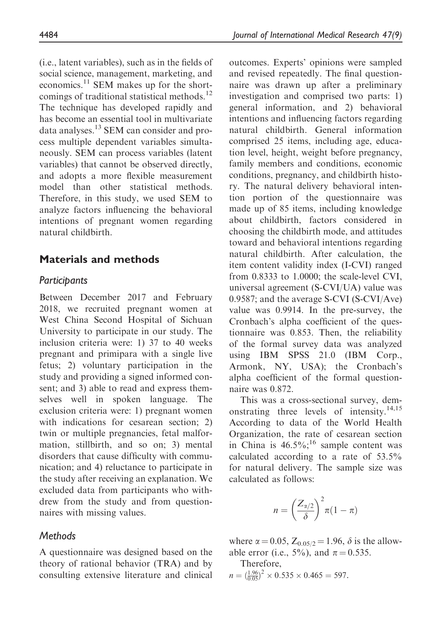(i.e., latent variables), such as in the fields of social science, management, marketing, and economics.<sup>11</sup> SEM makes up for the shortcomings of traditional statistical methods.12 The technique has developed rapidly and has become an essential tool in multivariate data analyses.13 SEM can consider and process multiple dependent variables simultaneously. SEM can process variables (latent variables) that cannot be observed directly, and adopts a more flexible measurement model than other statistical methods. Therefore, in this study, we used SEM to analyze factors influencing the behavioral intentions of pregnant women regarding natural childbirth.

# Materials and methods

## **Participants**

Between December 2017 and February 2018, we recruited pregnant women at West China Second Hospital of Sichuan University to participate in our study. The inclusion criteria were: 1) 37 to 40 weeks pregnant and primipara with a single live fetus; 2) voluntary participation in the study and providing a signed informed consent; and 3) able to read and express themselves well in spoken language. The exclusion criteria were: 1) pregnant women with indications for cesarean section: 2) twin or multiple pregnancies, fetal malformation, stillbirth, and so on; 3) mental disorders that cause difficulty with communication; and 4) reluctance to participate in the study after receiving an explanation. We excluded data from participants who withdrew from the study and from questionnaires with missing values.

# **Methods**

A questionnaire was designed based on the theory of rational behavior (TRA) and by consulting extensive literature and clinical outcomes. Experts' opinions were sampled and revised repeatedly. The final questionnaire was drawn up after a preliminary investigation and comprised two parts: 1) general information, and 2) behavioral intentions and influencing factors regarding natural childbirth. General information comprised 25 items, including age, education level, height, weight before pregnancy, family members and conditions, economic conditions, pregnancy, and childbirth history. The natural delivery behavioral intention portion of the questionnaire was made up of 85 items, including knowledge about childbirth, factors considered in choosing the childbirth mode, and attitudes toward and behavioral intentions regarding natural childbirth. After calculation, the item content validity index (I-CVI) ranged from 0.8333 to 1.0000; the scale-level CVI, universal agreement (S-CVI/UA) value was 0.9587; and the average S-CVI (S-CVI/Ave) value was 0.9914. In the pre-survey, the Cronbach's alpha coefficient of the questionnaire was 0.853. Then, the reliability of the formal survey data was analyzed using IBM SPSS 21.0 (IBM Corp., Armonk, NY, USA); the Cronbach's alpha coefficient of the formal questionnaire was 0.872.

This was a cross-sectional survey, demonstrating three levels of intensity.<sup>14,15</sup> According to data of the World Health Organization, the rate of cesarean section in China is  $46.5\%$ ;<sup>16</sup> sample content was calculated according to a rate of 53.5% for natural delivery. The sample size was calculated as follows:

$$
n = \left(\frac{Z_{\alpha/2}}{\delta}\right)^2 \pi (1 - \pi)
$$

where  $\alpha = 0.05$ ,  $Z_{0.05/2} = 1.96$ ,  $\delta$  is the allowable error (i.e., 5%), and  $\pi = 0.535$ .

Therefore,

$$
n = \left(\frac{1.96}{0.05}\right)^2 \times 0.535 \times 0.465 = 597.
$$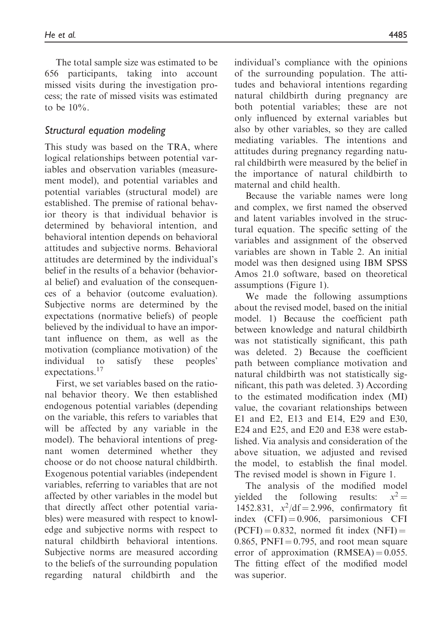The total sample size was estimated to be 656 participants, taking into account missed visits during the investigation process; the rate of missed visits was estimated to be 10%.

## Structural equation modeling

This study was based on the TRA, where logical relationships between potential variables and observation variables (measurement model), and potential variables and potential variables (structural model) are established. The premise of rational behavior theory is that individual behavior is determined by behavioral intention, and behavioral intention depends on behavioral attitudes and subjective norms. Behavioral attitudes are determined by the individual's belief in the results of a behavior (behavioral belief) and evaluation of the consequences of a behavior (outcome evaluation). Subjective norms are determined by the expectations (normative beliefs) of people believed by the individual to have an important influence on them, as well as the motivation (compliance motivation) of the individual to satisfy these peoples' expectations.<sup>17</sup>

First, we set variables based on the rational behavior theory. We then established endogenous potential variables (depending on the variable, this refers to variables that will be affected by any variable in the model). The behavioral intentions of pregnant women determined whether they choose or do not choose natural childbirth. Exogenous potential variables (independent variables, referring to variables that are not affected by other variables in the model but that directly affect other potential variables) were measured with respect to knowledge and subjective norms with respect to natural childbirth behavioral intentions. Subjective norms are measured according to the beliefs of the surrounding population regarding natural childbirth and the individual's compliance with the opinions of the surrounding population. The attitudes and behavioral intentions regarding natural childbirth during pregnancy are both potential variables; these are not only influenced by external variables but also by other variables, so they are called mediating variables. The intentions and attitudes during pregnancy regarding natural childbirth were measured by the belief in the importance of natural childbirth to maternal and child health.

Because the variable names were long and complex, we first named the observed and latent variables involved in the structural equation. The specific setting of the variables and assignment of the observed variables are shown in Table 2. An initial model was then designed using IBM SPSS Amos 21.0 software, based on theoretical assumptions (Figure 1).

We made the following assumptions about the revised model, based on the initial model. 1) Because the coefficient path between knowledge and natural childbirth was not statistically significant, this path was deleted. 2) Because the coefficient path between compliance motivation and natural childbirth was not statistically significant, this path was deleted. 3) According to the estimated modification index (MI) value, the covariant relationships between E1 and E2, E13 and E14, E29 and E30, E24 and E25, and E20 and E38 were established. Via analysis and consideration of the above situation, we adjusted and revised the model, to establish the final model. The revised model is shown in Figure 1.

The analysis of the modified model<br>ded the following results:  $x^2 =$ yielded the following results:  $x^2 =$ 1452.831,  $x^2/df = 2.996$ , confirmatory fit index  $(CFI) = 0.906$ , parsimonious CFI  $(PCFI) = 0.832$ , normed fit index  $(NFI) =$ 0.865,  $PNFI = 0.795$ , and root mean square error of approximation  $(RMSEA) = 0.055$ . The fitting effect of the modified model was superior.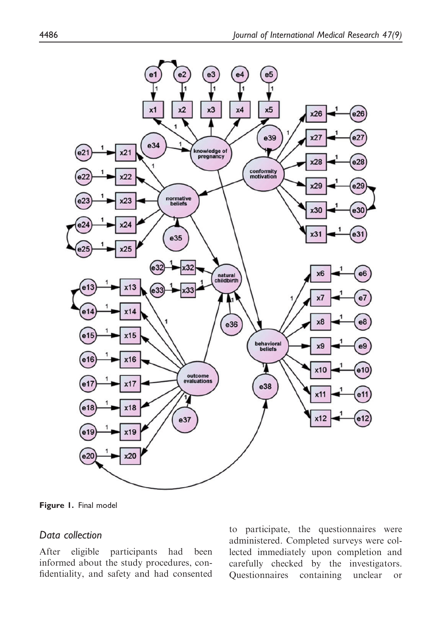

Figure 1. Final model

## Data collection

After eligible participants had been informed about the study procedures, confidentiality, and safety and had consented

to participate, the questionnaires were administered. Completed surveys were collected immediately upon completion and carefully checked by the investigators. Questionnaires containing unclear or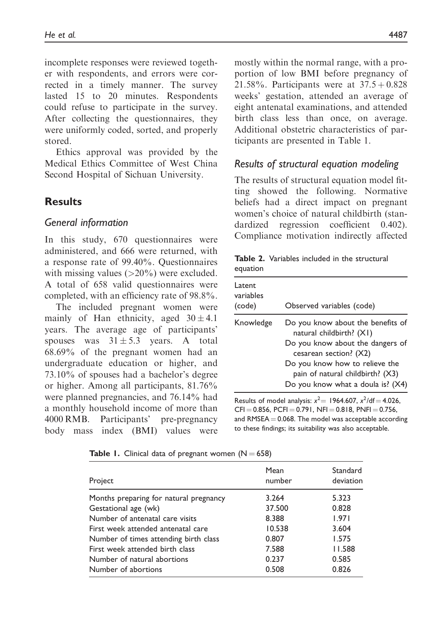incomplete responses were reviewed together with respondents, and errors were corrected in a timely manner. The survey lasted 15 to 20 minutes. Respondents could refuse to participate in the survey. After collecting the questionnaires, they were uniformly coded, sorted, and properly stored.

Ethics approval was provided by the Medical Ethics Committee of West China Second Hospital of Sichuan University.

## Results

### General information

In this study, 670 questionnaires were administered, and 666 were returned, with a response rate of 99.40%. Questionnaires with missing values  $(>20\%)$  were excluded. A total of 658 valid questionnaires were completed, with an efficiency rate of 98.8%.

The included pregnant women were mainly of Han ethnicity, aged  $30 \pm 4.1$ years. The average age of participants' spouses was  $31 \pm 5.3$  years. A total 68.69% of the pregnant women had an undergraduate education or higher, and 73.10% of spouses had a bachelor's degree or higher. Among all participants, 81.76% were planned pregnancies, and 76.14% had a monthly household income of more than 4000 RMB. Participants' pre-pregnancy body mass index (BMI) values were mostly within the normal range, with a proportion of low BMI before pregnancy of 21.58%. Participants were at  $37.5 + 0.828$ weeks' gestation, attended an average of eight antenatal examinations, and attended birth class less than once, on average. Additional obstetric characteristics of participants are presented in Table 1.

## Results of structural equation modeling

The results of structural equation model fitting showed the following. Normative beliefs had a direct impact on pregnant women's choice of natural childbirth (standardized regression coefficient 0.402). Compliance motivation indirectly affected

|          |  |  | <b>Table 2.</b> Variables included in the structural |
|----------|--|--|------------------------------------------------------|
| equation |  |  |                                                      |

| Latent<br>variables<br>(code) | Observed variables (code)                                                                                                                                                                                                                |
|-------------------------------|------------------------------------------------------------------------------------------------------------------------------------------------------------------------------------------------------------------------------------------|
| Knowledge                     | Do you know about the benefits of<br>natural childbirth? $(XI)$<br>Do you know about the dangers of<br>cesarean section? (X2)<br>Do you know how to relieve the<br>pain of natural childbirth? (X3)<br>Do you know what a doula is? (X4) |

Results of model analysis:  $x^2 = 1964.607$ ,  $x^2$ /df = 4.026,  $CFI = 0.856$ ,  $PCFI = 0.791$ ,  $NFI = 0.818$ ,  $PNFI = 0.756$ , and RMSEA  $= 0.068$ . The model was acceptable according to these findings; its suitability was also acceptable.

**Table 1.** Clinical data of pregnant women  $(N = 658)$ 

| Project                                | Mean<br>number | Standard<br>deviation |
|----------------------------------------|----------------|-----------------------|
| Months preparing for natural pregnancy | 3.264          | 5.323                 |
| Gestational age (wk)                   | 37.500         | 0.828                 |
| Number of antenatal care visits        | 8.388          | 1.971                 |
| First week attended antenatal care     | 10.538         | 3.604                 |
| Number of times attending birth class  | 0.807          | 1.575                 |
| First week attended birth class        | 7.588          | 11.588                |
| Number of natural abortions            | 0.237          | 0.585                 |
| Number of abortions                    | 0.508          | 0.826                 |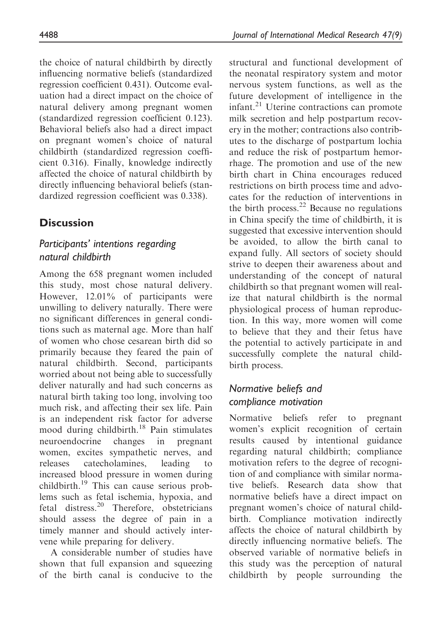the choice of natural childbirth by directly influencing normative beliefs (standardized regression coefficient 0.431). Outcome evaluation had a direct impact on the choice of natural delivery among pregnant women (standardized regression coefficient 0.123). Behavioral beliefs also had a direct impact on pregnant women's choice of natural childbirth (standardized regression coefficient 0.316). Finally, knowledge indirectly affected the choice of natural childbirth by directly influencing behavioral beliefs (standardized regression coefficient was 0.338).

# **Discussion**

# Participants' intentions regarding natural childbirth

Among the 658 pregnant women included this study, most chose natural delivery. However, 12.01% of participants were unwilling to delivery naturally. There were no significant differences in general conditions such as maternal age. More than half of women who chose cesarean birth did so primarily because they feared the pain of natural childbirth. Second, participants worried about not being able to successfully deliver naturally and had such concerns as natural birth taking too long, involving too much risk, and affecting their sex life. Pain is an independent risk factor for adverse mood during childbirth.<sup>18</sup> Pain stimulates neuroendocrine changes in pregnant women, excites sympathetic nerves, and releases catecholamines, leading to increased blood pressure in women during childbirth.<sup>19</sup> This can cause serious problems such as fetal ischemia, hypoxia, and fetal distress.<sup>20</sup> Therefore, obstetricians should assess the degree of pain in a timely manner and should actively intervene while preparing for delivery.

A considerable number of studies have shown that full expansion and squeezing of the birth canal is conducive to the

structural and functional development of the neonatal respiratory system and motor nervous system functions, as well as the future development of intelligence in the infant.<sup>21</sup> Uterine contractions can promote milk secretion and help postpartum recovery in the mother; contractions also contributes to the discharge of postpartum lochia and reduce the risk of postpartum hemorrhage. The promotion and use of the new birth chart in China encourages reduced restrictions on birth process time and advocates for the reduction of interventions in the birth process. $22$  Because no regulations in China specify the time of childbirth, it is suggested that excessive intervention should be avoided, to allow the birth canal to expand fully. All sectors of society should strive to deepen their awareness about and understanding of the concept of natural childbirth so that pregnant women will realize that natural childbirth is the normal physiological process of human reproduction. In this way, more women will come to believe that they and their fetus have the potential to actively participate in and successfully complete the natural childbirth process.

# Normative beliefs and compliance motivation

Normative beliefs refer to pregnant women's explicit recognition of certain results caused by intentional guidance regarding natural childbirth; compliance motivation refers to the degree of recognition of and compliance with similar normative beliefs. Research data show that normative beliefs have a direct impact on pregnant women's choice of natural childbirth. Compliance motivation indirectly affects the choice of natural childbirth by directly influencing normative beliefs. The observed variable of normative beliefs in this study was the perception of natural childbirth by people surrounding the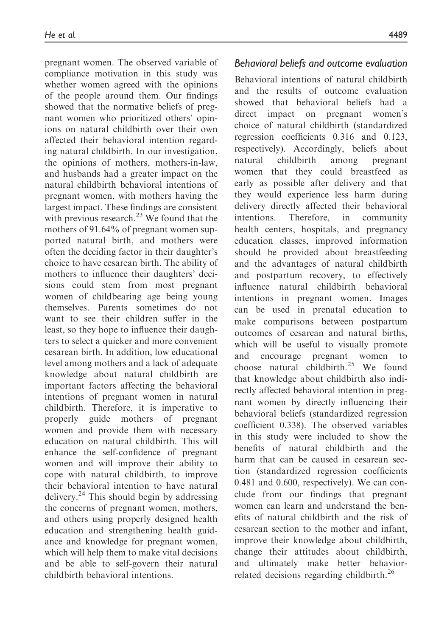pregnant women. The observed variable of compliance motivation in this study was whether women agreed with the opinions of the people around them. Our findings showed that the normative beliefs of pregnant women who prioritized others' opinions on natural childbirth over their own affected their behavioral intention regarding natural childbirth. In our investigation, the opinions of mothers, mothers-in-law, and husbands had a greater impact on the natural childbirth behavioral intentions of pregnant women, with mothers having the largest impact. These findings are consistent with previous research. $^{23}$  We found that the mothers of 91.64% of pregnant women supported natural birth, and mothers were often the deciding factor in their daughter's choice to have cesarean birth. The ability of mothers to influence their daughters' decisions could stem from most pregnant women of childbearing age being young themselves. Parents sometimes do not want to see their children suffer in the least, so they hope to influence their daughters to select a quicker and more convenient cesarean birth. In addition, low educational level among mothers and a lack of adequate knowledge about natural childbirth are important factors affecting the behavioral intentions of pregnant women in natural childbirth. Therefore, it is imperative to properly guide mothers of pregnant women and provide them with necessary education on natural childbirth. This will enhance the self-confidence of pregnant women and will improve their ability to cope with natural childbirth, to improve their behavioral intention to have natural delivery. $^{24}$  This should begin by addressing the concerns of pregnant women, mothers, and others using properly designed health education and strengthening health guidance and knowledge for pregnant women, which will help them to make vital decisions and be able to self-govern their natural childbirth behavioral intentions.

#### Behavioral beliefs and outcome evaluation

Behavioral intentions of natural childbirth and the results of outcome evaluation showed that behavioral beliefs had a direct impact on pregnant women's choice of natural childbirth (standardized regression coefficients 0.316 and 0.123, respectively). Accordingly, beliefs about natural childbirth among pregnant women that they could breastfeed as early as possible after delivery and that they would experience less harm during delivery directly affected their behavioral intentions. Therefore, in community health centers, hospitals, and pregnancy education classes, improved information should be provided about breastfeeding and the advantages of natural childbirth and postpartum recovery, to effectively influence natural childbirth behavioral intentions in pregnant women. Images can be used in prenatal education to make comparisons between postpartum outcomes of cesarean and natural births, which will be useful to visually promote and encourage pregnant women choose natural childbirth. $25$  We found that knowledge about childbirth also indirectly affected behavioral intention in pregnant women by directly influencing their behavioral beliefs (standardized regression coefficient 0.338). The observed variables in this study were included to show the benefits of natural childbirth and the harm that can be caused in cesarean section (standardized regression coefficients 0.481 and 0.600, respectively). We can conclude from our findings that pregnant women can learn and understand the benefits of natural childbirth and the risk of cesarean section to the mother and infant, improve their knowledge about childbirth, change their attitudes about childbirth, and ultimately make better behaviorrelated decisions regarding childbirth.<sup>26</sup>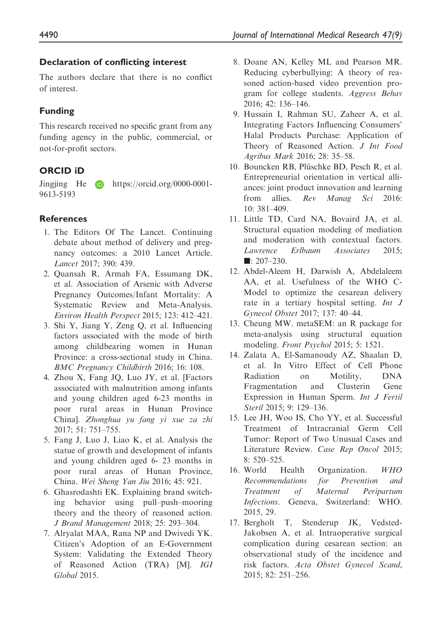#### Declaration of conflicting interest

The authors declare that there is no conflict of interest.

#### Funding

This research received no specific grant from any funding agency in the public, commercial, or not-for-profit sectors.

#### ORCID iD

Jingjing He [https://orcid.org/0000-0001-](https://orcid.org/0000-0001-9613-5193) [9613-5193](https://orcid.org/0000-0001-9613-5193)

#### References

- 1. The Editors Of The Lancet. Continuing debate about method of delivery and pregnancy outcomes: a 2010 Lancet Article. Lancet 2017; 390: 439.
- 2. Quansah R, Armah FA, Essumang DK, et al. Association of Arsenic with Adverse Pregnancy Outcomes/Infant Mortality: A Systematic Review and Meta-Analysis. Environ Health Perspect 2015; 123: 412–421.
- 3. Shi Y, Jiang Y, Zeng Q, et al. Influencing factors associated with the mode of birth among childbearing women in Hunan Province: a cross-sectional study in China. BMC Pregnancy Childbirth 2016; 16: 108.
- 4. Zhou X, Fang JQ, Luo JY, et al. [Factors associated with malnutrition among infants and young children aged 6-23 months in poor rural areas in Hunan Province China]. Zhonghua yu fang yi xue za zhi 2017; 51: 751–755.
- 5. Fang J, Luo J, Liao K, et al. Analysis the statue of growth and development of infants and young children aged 6- 23 months in poor rural areas of Hunan Province, China. Wei Sheng Yan Jiu 2016; 45: 921.
- 6. Ghasrodashti EK. Explaining brand switching behavior using pull–push–mooring theory and the theory of reasoned action. J Brand Management 2018; 25: 293–304.
- 7. Alryalat MAA, Rana NP and Dwivedi YK. Citizen's Adoption of an E-Government System: Validating the Extended Theory of Reasoned Action (TRA) [M]. IGI Global 2015.
- 8. Doane AN, Kelley ML and Pearson MR. Reducing cyberbullying: A theory of reasoned action-based video prevention program for college students. Aggress Behav 2016; 42: 136–146.
- 9. Hussain I, Rahman SU, Zaheer A, et al. Integrating Factors Influencing Consumers' Halal Products Purchase: Application of Theory of Reasoned Action. J Int Food Agribus Mark 2016; 28: 35–58.
- 10. Bouncken RB, Plüschke BD, Pesch R, et al. Entrepreneurial orientation in vertical alliances: joint product innovation and learning from allies. Rev Manag Sci 2016:  $10 \cdot 381 - 409$
- 11. Little TD, Card NA, Bovaird JA, et al. Structural equation modeling of mediation and moderation with contextual factors. Lawrence Erlbaum Associates 2015;  $\blacksquare: 207 - 230$ .
- 12. Abdel-Aleem H, Darwish A, Abdelaleem AA, et al. Usefulness of the WHO C-Model to optimize the cesarean delivery rate in a tertiary hospital setting. Int J Gynecol Obstet 2017; 137: 40–44.
- 13. Cheung MW. metaSEM: an R package for meta-analysis using structural equation modeling. Front Psychol 2015; 5: 1521.
- 14. Zalata A, El-Samanoudy AZ, Shaalan D, et al. In Vitro Effect of Cell Phone Radiation on Motility, DNA Fragmentation and Clusterin Gene Expression in Human Sperm. Int J Fertil Steril 2015; 9: 129–136.
- 15. Lee JH, Woo IS, Cho YY, et al. Successful Treatment of Intracranial Germ Cell Tumor: Report of Two Unusual Cases and Literature Review. Case Rep Oncol 2015; 8: 520–525.
- 16. World Health Organization. WHO Recommendations for Prevention and Treatment of Maternal Peripartum Infections. Geneva, Switzerland: WHO. 2015, 29.
- 17. Bergholt T, Stenderup JK, Vedsted-Jakobsen A, et al. Intraoperative surgical complication during cesarean section: an observational study of the incidence and risk factors. Acta Obstet Gynecol Scand, 2015; 82: 251–256.